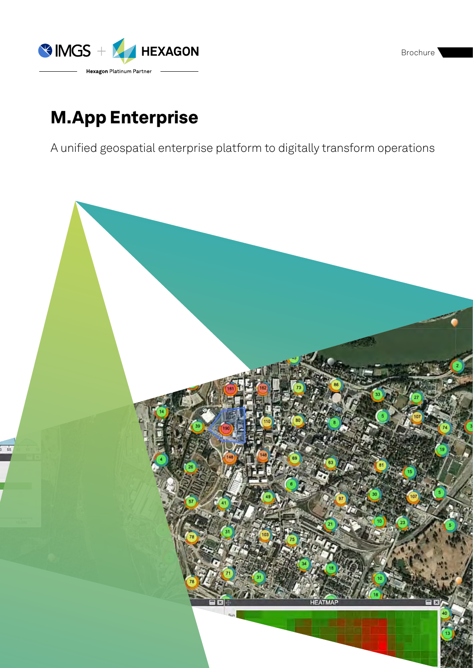Brochure<sup>1</sup>



# M.App Enterprise

A unified geospatial enterprise platform to digitally transform operations

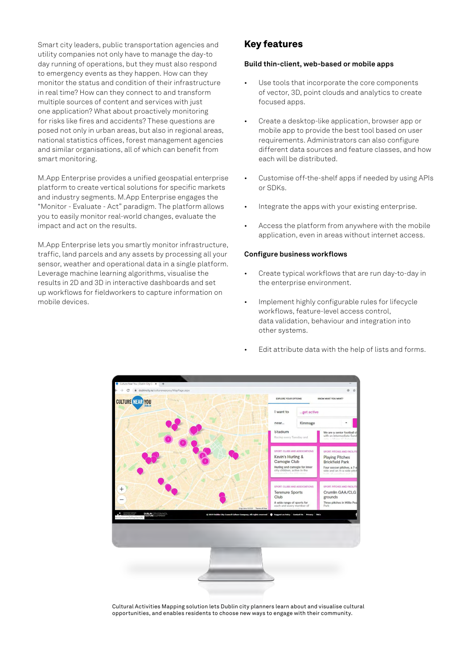Smart city leaders, public transportation agencies and utility companies not only have to manage the day-to day running of operations, but they must also respond to emergency events as they happen. How can they monitor the status and condition of their infrastructure in real time? How can they connect to and transform multiple sources of content and services with just one application? What about proactively monitoring for risks like fires and accidents? These questions are posed not only in urban areas, but also in regional areas, national statistics offices, forest management agencies and similar organisations, all of which can benefit from smart monitoring.

M.App Enterprise provides a unified geospatial enterprise platform to create vertical solutions for specific markets and industry segments. M.App Enterprise engages the "Monitor - Evaluate - Act" paradigm. The platform allows you to easily monitor real-world changes, evaluate the impact and act on the results.

M.App Enterprise lets you smartly monitor infrastructure, traffic, land parcels and any assets by processing all your sensor, weather and operational data in a single platform. Leverage machine learning algorithms, visualise the results in 2D and 3D in interactive dashboards and set up workflows for fieldworkers to capture information on mobile devices.

# Key features

#### **Build thin-client, web-based or mobile apps**

- Use tools that incorporate the core components of vector, 3D, point clouds and analytics to create focused apps.
- Create a desktop-like application, browser app or mobile app to provide the best tool based on user requirements. Administrators can also configure different data sources and feature classes, and how each will be distributed.
- Customise off-the-shelf apps if needed by using APIs or SDKs.
- Integrate the apps with your existing enterprise.
- Access the platform from anywhere with the mobile application, even in areas without internet access.

#### **Configure business workflows**

- Create typical workflows that are run day-to-day in the enterprise environment.
- Implement highly configurable rules for lifecycle workflows, feature-level access control, data validation, behaviour and integration into other systems.
- Edit attribute data with the help of lists and forms.



Cultural Activities Mapping solution lets Dublin city planners learn about and visualise cultural opportunities, and enables residents to choose new ways to engage with their community.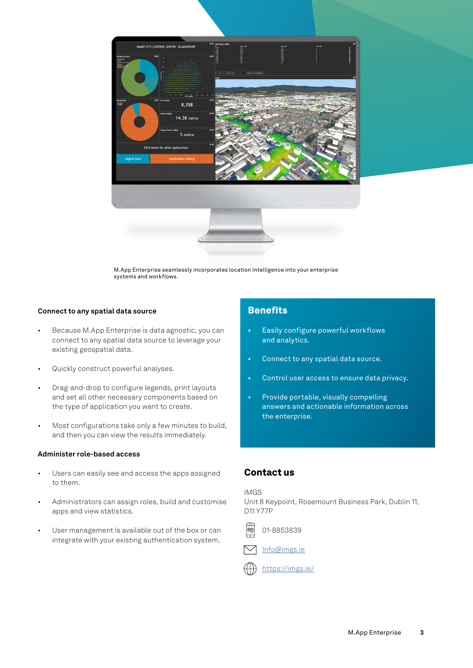

M.App Enterprise seamlessly incorporates location intelligence into your enterprise systems and workflows.

## **Connect to any spatial data source**

- Because M.App Enterprise is data agnostic, you can connect to any spatial data source to leverage your existing geospatial data.
- Quickly construct powerful analyses.
- Drag-and-drop to configure legends, print layouts and set all other necessary components based on the type of application you want to create.
- Most configurations take only a few minutes to build, and then you can view the results immediately.

## **Administer role-based access**

- Users can easily see and access the apps assigned to them.
- Administrators can assign roles, build and customise apps and view statistics.
- User management is available out of the box or can integrate with your existing authentication system.

## **Benefits**

- Easily configure powerful workflows and analytics.
- Connect to any spatial data source.
- Control user access to ensure data privacy.
- Provide portable, visually compelling answers and actionable information across the enterprise.

## Contact us

IMGS

Unit 8 Keypoint, Rosemount Business Park, Dublin 11, D11 Y77P





<https://imgs.ie/>